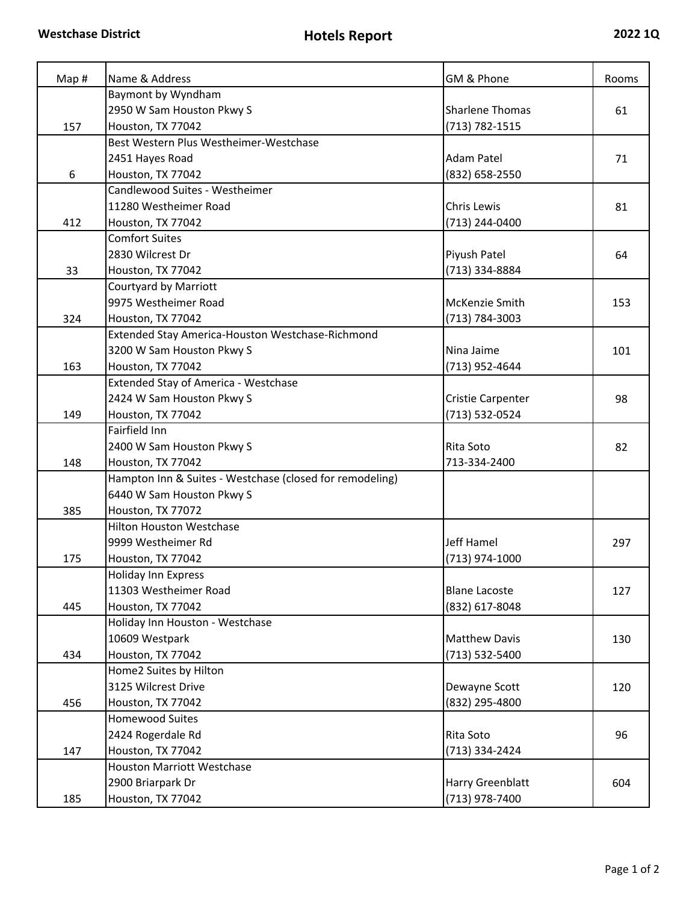| Map# | Name & Address                                           | GM & Phone             | Rooms |
|------|----------------------------------------------------------|------------------------|-------|
|      | Baymont by Wyndham                                       |                        |       |
|      | 2950 W Sam Houston Pkwy S                                | <b>Sharlene Thomas</b> | 61    |
| 157  | Houston, TX 77042                                        | (713) 782-1515         |       |
|      | Best Western Plus Westheimer-Westchase                   |                        |       |
|      | 2451 Hayes Road                                          | <b>Adam Patel</b>      | 71    |
| 6    | Houston, TX 77042                                        | (832) 658-2550         |       |
|      | Candlewood Suites - Westheimer                           |                        |       |
|      | 11280 Westheimer Road                                    | <b>Chris Lewis</b>     | 81    |
| 412  | Houston, TX 77042                                        | (713) 244-0400         |       |
|      | <b>Comfort Suites</b>                                    |                        |       |
|      | 2830 Wilcrest Dr                                         | Piyush Patel           | 64    |
| 33   | Houston, TX 77042                                        | (713) 334-8884         |       |
|      | <b>Courtyard by Marriott</b>                             |                        |       |
|      | 9975 Westheimer Road                                     | McKenzie Smith         | 153   |
| 324  | Houston, TX 77042                                        | (713) 784-3003         |       |
|      | Extended Stay America-Houston Westchase-Richmond         |                        |       |
|      | 3200 W Sam Houston Pkwy S                                | Nina Jaime             | 101   |
| 163  | Houston, TX 77042                                        | (713) 952-4644         |       |
|      | Extended Stay of America - Westchase                     |                        |       |
|      | 2424 W Sam Houston Pkwy S                                | Cristie Carpenter      | 98    |
| 149  | Houston, TX 77042                                        | (713) 532-0524         |       |
|      | Fairfield Inn                                            |                        |       |
|      | 2400 W Sam Houston Pkwy S                                | Rita Soto              | 82    |
| 148  | Houston, TX 77042                                        | 713-334-2400           |       |
|      | Hampton Inn & Suites - Westchase (closed for remodeling) |                        |       |
|      | 6440 W Sam Houston Pkwy S                                |                        |       |
| 385  | Houston, TX 77072                                        |                        |       |
|      | <b>Hilton Houston Westchase</b>                          |                        |       |
|      | 9999 Westheimer Rd                                       | Jeff Hamel             | 297   |
| 175  | Houston, TX 77042                                        | (713) 974-1000         |       |
|      | <b>Holiday Inn Express</b>                               |                        |       |
|      | 11303 Westheimer Road                                    | <b>Blane Lacoste</b>   | 127   |
| 445  | Houston, TX 77042                                        | (832) 617-8048         |       |
|      | Holiday Inn Houston - Westchase                          |                        |       |
|      | 10609 Westpark                                           | <b>Matthew Davis</b>   | 130   |
| 434  | Houston, TX 77042                                        | (713) 532-5400         |       |
|      |                                                          |                        |       |
|      | Home2 Suites by Hilton<br>3125 Wilcrest Drive            |                        |       |
|      |                                                          | Dewayne Scott          | 120   |
| 456  | Houston, TX 77042                                        | (832) 295-4800         |       |
|      | <b>Homewood Suites</b>                                   |                        |       |
|      | 2424 Rogerdale Rd                                        | Rita Soto              | 96    |
| 147  | Houston, TX 77042                                        | (713) 334-2424         |       |
|      | <b>Houston Marriott Westchase</b>                        |                        |       |
|      | 2900 Briarpark Dr                                        | Harry Greenblatt       | 604   |
| 185  | Houston, TX 77042                                        | (713) 978-7400         |       |